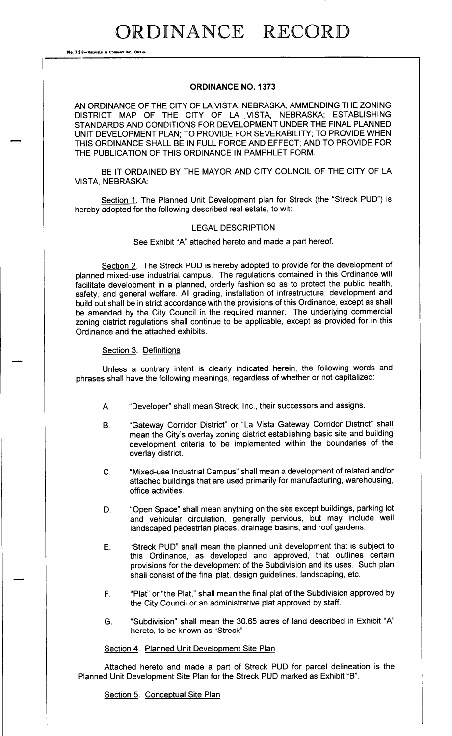No. 72 8-REDFIELD & COMPANY INC., OMAHA

### ORDINANCE NO. 1373

AN ORDINANCE OF THE CITY OF LA VISTA, NEBRASKA, AMMENDING THE ZONING DISTRICT MAP OF THE CITY OF LA VISTA, NEBRASKA; ESTABLISHING STANDARDS AND CONDITIONS FOR DEVELOPMENT UNDER THE FINAL PLANNED UNIT DEVELOPMENT PLAN; TO PROVIDE FOR SEVERABILITY; TO PROVIDE WHEN THIS ORDINANCE SHALL BE IN FULL FORCE AND EFFECT; AND TO PROVIDE FOR THE PUBLICATION OF THIS ORDINANCE IN PAMPHLET FORM.

BE IT ORDAINED BY THE MAYOR AND CITY COUNCIL OF THE CITY OF LA VISTA, NEBRASKA:

Section 1. The Planned Unit Development plan for Streck (the "Streck PUD") is hereby adopted for the following described real estate, to wit:

#### LEGAL DESCRIPTION

See Exhibit "A" attached hereto and made a part hereof.

Section 2. The Streck PUD is hereby adopted to provide for the development of planned mixed- use industrial campus. The regulations contained in this Ordinance will facilitate development in a planned, orderly fashion so as to protect the public health, safety, and general welfare. All grading, installation of infrastructure, development and build out shall be in strict accordance with the provisions of this Ordinance, except as shall be amended by the City Council in the required manner. The underlying commercial zoning district regulations shall continue to be applicable, except as provided for in this Ordinance and the attached exhibits.

#### Section 3. Definitions

Unless a contrary intent is clearly indicated herein, the following words and phrases shall have the following meanings, regardless of whether or not capitalized:

- A. " Developer" shall mean Streck, Inc., their successors and assigns.
- B. " Gateway Corridor District" or " La Vista Gateway Corridor District" shall mean the City's overlay zoning district establishing basic site and building development criteria to be implemented within the boundaries of the overlay district.
- C. " Mixed- use Industrial Campus" shall mean a development of related and/or attached buildings that are used primarily for manufacturing, warehousing, office activities.
- D. " Open Space" shall mean anything on the site except buildings, parking lot and vehicular circulation, generally pervious, but may include well landscaped pedestrian places, drainage basins, and roof gardens.
- E. " Streck PUD" shall mean the planned unit development that is subject to this Ordinance, as developed and approved, that outlines certain provisions for the development of the Subdivision and its uses. Such plan shall consist of the final plat, design guidelines, landscaping, etc.
- F. "Plat" or "the Plat," shall mean the final plat of the Subdivision approved by the City Council or an administrative plat approved by staff.
- G. " Subdivision" shall mean the 30. 65 acres of land described in Exhibit "A" hereto, to be known as "Streck"

#### Section 4. Planned Unit Development Site Plan

Attached hereto and made a part of Streck PUD for parcel delineation is the Planned Unit Development Site Plan for the Streck PUD marked as Exhibit "B".

Section 5. Conceptual Site Plan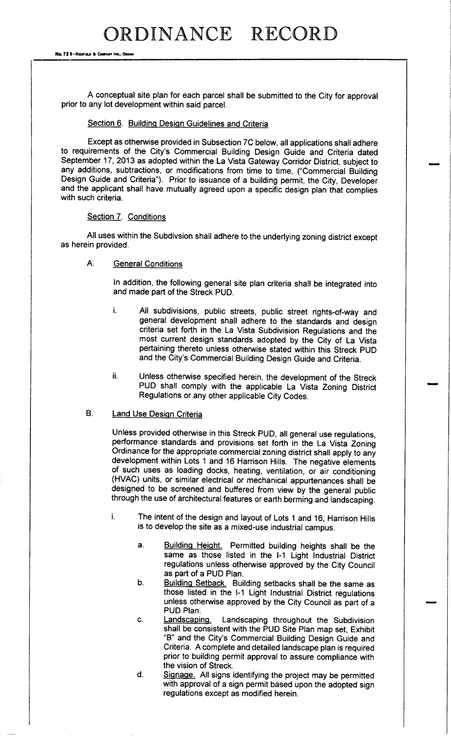No. 72 8-REDFIELD & COMPANT INC., OMAHA

A conceptual site plan for each parcel shall be submitted to the City for approval prior to any lot development within said parcel.

#### Section 6. Building Design Guidelines and Criteria

Except as otherwise provided in Subsection 7C below, all applications shall adhere to requirements of the City's Commercial Building Design Guide and Criteria dated September 17, 2013 as adopted within the La Vista Gateway Corridor District, subject to any additions, subtractions, or modifications from time to time, (" Commercial Building Design Guide and Criteria"). Prior to issuance of <sup>a</sup> building permit, the City, Developer and the applicant shall have mutually agreed upon a specific design plan that complies with such criteria.

#### Section 7. Conditions

All uses within the Subdivsion shall adhere to the underlying zoning district except as herein provided.

### A. General Conditions

In addition, the following general site plan criteria shall be integrated into and made part of the Streck PUD.

- i. All subdivisions, public streets, public street rights-of-way and general development shall adhere to the standards and design criteria set forth in the La Vista Subdivision Regulations and the most current design standards adopted by the City of La Vista pertaining thereto unless otherwise stated within this Streck PUD and the City's Commercial Building Design Guide and Criteria.
- ii. Unless otherwise specified herein, the development of the Streck PUD shall comply with the applicable La Vista Zoning District Regulations or any other applicable City Codes.

### B. **Land Use Design Criteria**

Unless provided otherwise in this Streck PUD, all general use regulations, performance standards and provisions set forth in the La Vista Zoning Ordinance for the appropriate commercial zoning district shall apply to any development within Lots <sup>1</sup> and <sup>16</sup> Harrison Hills. The negative elements of such uses as loading docks, heating, ventilation, or air conditioning HVAC) units, or similar electrical or mechanical appurtenances shall be designed to be screened and buffered from view by the general public through the use of architectural features or earth berming and landscaping.

- i. The intent of the design and layout of Lots <sup>1</sup> and 16, Harrison Hills is to develop the site as a mixed-use industrial campus.
	- a. Building Height. Permitted building heights shall be the same as those listed in the I-1 Light Industrial District regulations unless otherwise approved by the City Council as part of a PUD Plan.
	- b. Building Setback. Building setbacks shall be the same as those listed in the I-1 Light Industrial District regulations unless otherwise approved by the City Council as part of a PUD Plan.
	- c. Landscaping. Landscaping throughout the Subdivision shall be consistent with the PUD Site Plan map set, Exhibit B" and the City's Commercial Building Design Guide and Criteria. A complete and detailed landscape plan is required prior to building permit approval to assure compliance with the vision of Streck.
	- d. Signage. All signs identifying the project may be permitted with approval of a sign permit based upon the adopted sign regulations except as modified herein.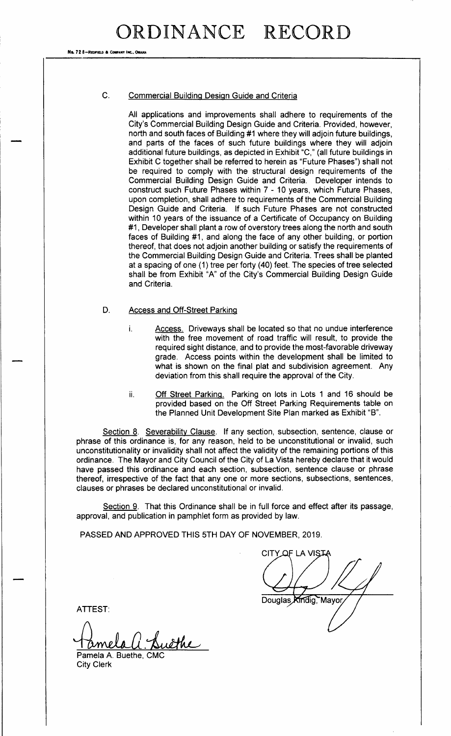No. 72 8-REDFIELD & COMPANY INC.

### C. Commercial Building Design Guide and Criteria

All applications and improvements shall adhere to requirements of the City's Commercial Building Design Guide and Criteria. Provided, however, north and south faces of Building #1 where they will adjoin future buildings, and parts of the faces of such future buildings where they will adjoin and parts of the races of sach ratale ballange where they will adjoint additional future buildings, as depicted in Exhibit "C," (all future buildings in Exhibit C together shall be referred to herein as "Future Phases") shall not be required to comply with the structural design requirements of the Commercial Building Design Guide and Criteria. Developer intends to construct such Future Phases within 7 - <sup>10</sup> years, which Future Phases, upon completion, shall adhere to requirements of the Commercial Building Design Guide and Criteria. If such Future Phases are not constructed within 10 years of the issuance of a Certificate of Occupancy on Building #1, Developer shall plant a row of overstory trees along the north and south faces of Building #1, and along the face of any other building, or portion thereof, that does not adjoin another building or satisfy the requirements of the Commercial Building Design Guide and Criteria. Trees shall be planted at a spacing of one (1) tree per forty (40) feet. The species of tree selected shall be from Exhibit "A" of the City's Commercial Building Design Guide and Criteria.

### D. Access and Off-Street Parking

- i. Access. Driveways shall be located so that no undue interference with the free movement of road traffic will result, to provide the required sight distance, and to provide the most-favorable driveway grade. Access points within the development shall be limited to what is shown on the final plat and subdivision agreement. Any deviation from this shall require the approval of the City.
- ii. Off Street Parking. Parking on lots in Lots 1 and 16 should be provided based on the Off Street Parking Requirements table on the Planned Unit Development Site Plan marked as Exhibit "B".

Section 8. Severability Clause. If any section, subsection, sentence, clause or phrase of this ordinance is, for any reason, held to be unconstitutional or invalid, such unconstitutionality or invalidity shall not affect the validity of the remaining portions of this ordinance. The Mayor and City Council of the City of La Vista hereby declare that it would have passed this ordinance and each section, subsection, sentence clause or phrase thereof, irrespective of the fact that any one or more sections, subsections, sentences, clauses or phrases be declared unconstitutional or invalid.

Section 9. That this Ordinance shall be in full force and effect after its passage, approval, and publication in pamphlet form as provided by law.

PASSED AND APPROVED THIS 5TH DAY OF NOVEMBER, 2019.

CITY OF LA VIST.

Douglas Kindig, Mayor

ATTEST:

<u>athe</u> Pamela A. Buethe, CMC

City Clerk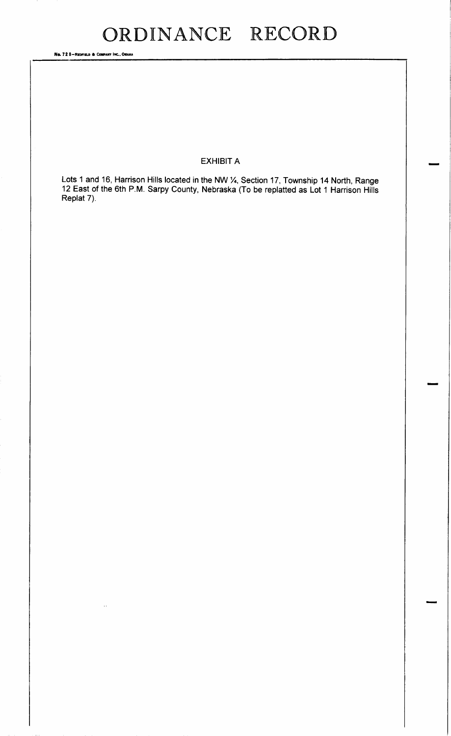Ne. 72 8-REDFIELD & COMPANY INC., OMAHA

## EXHIBIT A

Lots <sup>1</sup> and 16, Harrison Hills located in the NW %4, Section 17, Township 14 North, Range  $12$  East of the 6th P.M. Sarpy County, Nebraska (10 be replatted as Lot 1 Harrison Hills Replat 7).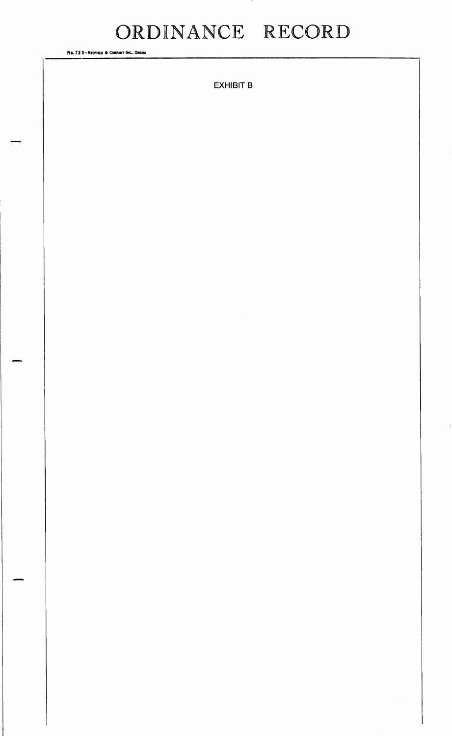No. 728-REDFIELD & COMPANY INC., OMAHA

**EXHIBIT B**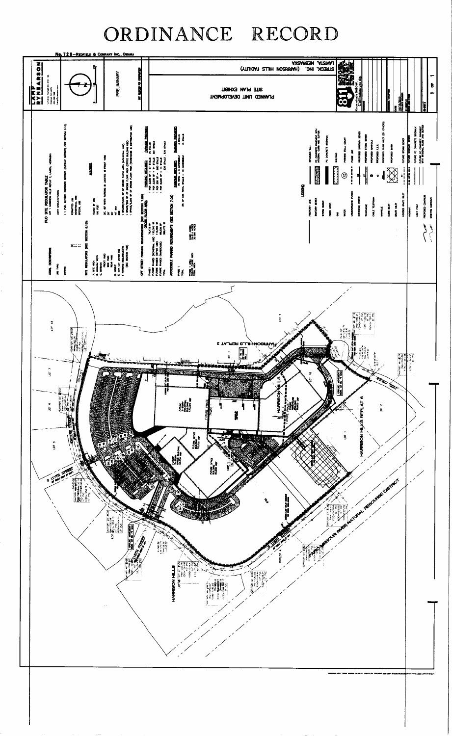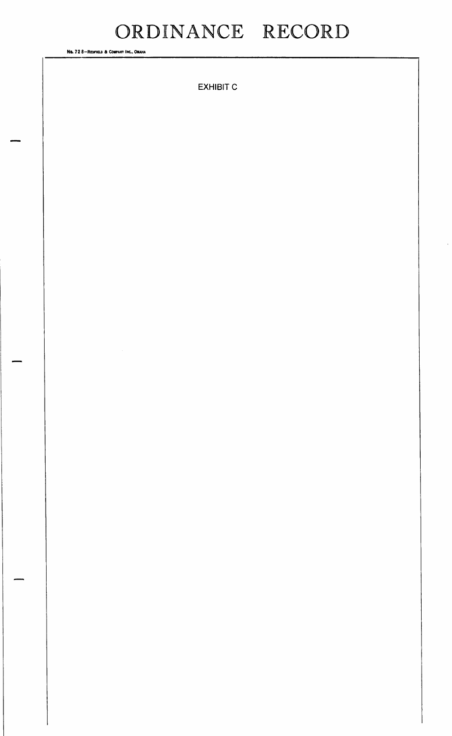No. 728-REDFIELD & COMPANY INC., OMAHA

**EXHIBIT C**